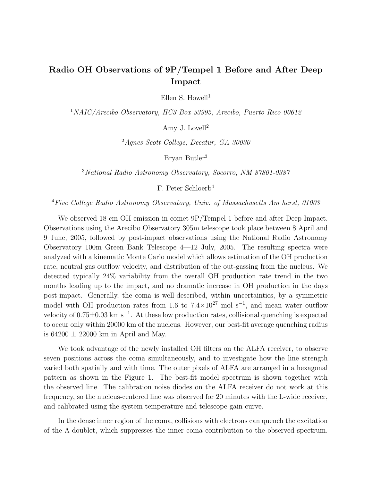## Radio OH Observations of 9P/Tempel 1 Before and After Deep Impact

Ellen S. Howell<sup>1</sup>

<sup>1</sup>NAIC/Arecibo Observatory, HC3 Box 53995, Arecibo, Puerto Rico 00612

Amy J. Lovell<sup>2</sup>

<sup>2</sup>Agnes Scott College, Decatur, GA 30030

Bryan Butler<sup>3</sup>

<sup>3</sup>National Radio Astronomy Observatory, Socorro, NM 87801-0387

F. Peter Schloerb<sup>4</sup>

<sup>4</sup>Five College Radio Astronomy Observatory, Univ. of Massachusetts Am herst, 01003

We observed 18-cm OH emission in comet 9P/Tempel 1 before and after Deep Impact. Observations using the Arecibo Observatory 305m telescope took place between 8 April and 9 June, 2005, followed by post-impact observations using the National Radio Astronomy Observatory 100m Green Bank Telescope 4—12 July, 2005. The resulting spectra were analyzed with a kinematic Monte Carlo model which allows estimation of the OH production rate, neutral gas outflow velocity, and distribution of the out-gassing from the nucleus. We detected typically 24% variability from the overall OH production rate trend in the two months leading up to the impact, and no dramatic increase in OH production in the days post-impact. Generally, the coma is well-described, within uncertainties, by a symmetric model with OH production rates from 1.6 to  $7.4\times10^{27}$  mol s<sup>-1</sup>, and mean water outflow velocity of  $0.75 \pm 0.03$  km s<sup>-1</sup>. At these low production rates, collisional quenching is expected to occur only within 20000 km of the nucleus. However, our best-fit average quenching radius is  $64200 \pm 22000$  km in April and May.

We took advantage of the newly installed OH filters on the ALFA receiver, to observe seven positions across the coma simultaneously, and to investigate how the line strength varied both spatially and with time. The outer pixels of ALFA are arranged in a hexagonal pattern as shown in the Figure 1. The best-fit model spectrum is shown together with the observed line. The calibration noise diodes on the ALFA receiver do not work at this frequency, so the nucleus-centered line was observed for 20 minutes with the L-wide receiver, and calibrated using the system temperature and telescope gain curve.

In the dense inner region of the coma, collisions with electrons can quench the excitation of the Λ-doublet, which suppresses the inner coma contribution to the observed spectrum.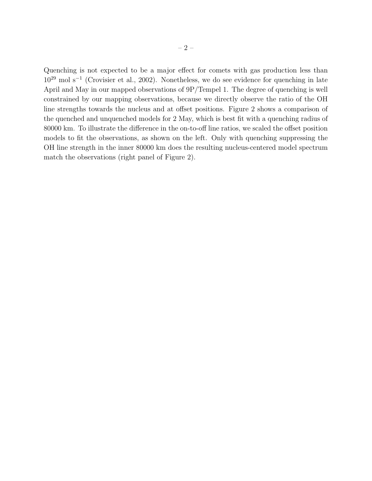Quenching is not expected to be a major effect for comets with gas production less than  $10^{29}$  mol s<sup>-1</sup> (Crovisier et al., 2002). Nonetheless, we do see evidence for quenching in late April and May in our mapped observations of 9P/Tempel 1. The degree of quenching is well constrained by our mapping observations, because we directly observe the ratio of the OH line strengths towards the nucleus and at offset positions. Figure 2 shows a comparison of the quenched and unquenched models for 2 May, which is best fit with a quenching radius of 80000 km. To illustrate the difference in the on-to-off line ratios, we scaled the offset position models to fit the observations, as shown on the left. Only with quenching suppressing the OH line strength in the inner 80000 km does the resulting nucleus-centered model spectrum match the observations (right panel of Figure 2).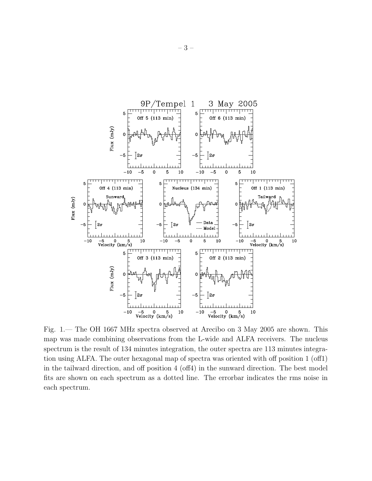

Fig. 1.— The OH 1667 MHz spectra observed at Arecibo on 3 May 2005 are shown. This map was made combining observations from the L-wide and ALFA receivers. The nucleus spectrum is the result of 134 minutes integration, the outer spectra are 113 minutes integration using ALFA. The outer hexagonal map of spectra was oriented with off position 1 (off1) in the tailward direction, and off position 4 (off4) in the sunward direction. The best model fits are shown on each spectrum as a dotted line. The errorbar indicates the rms noise in each spectrum.